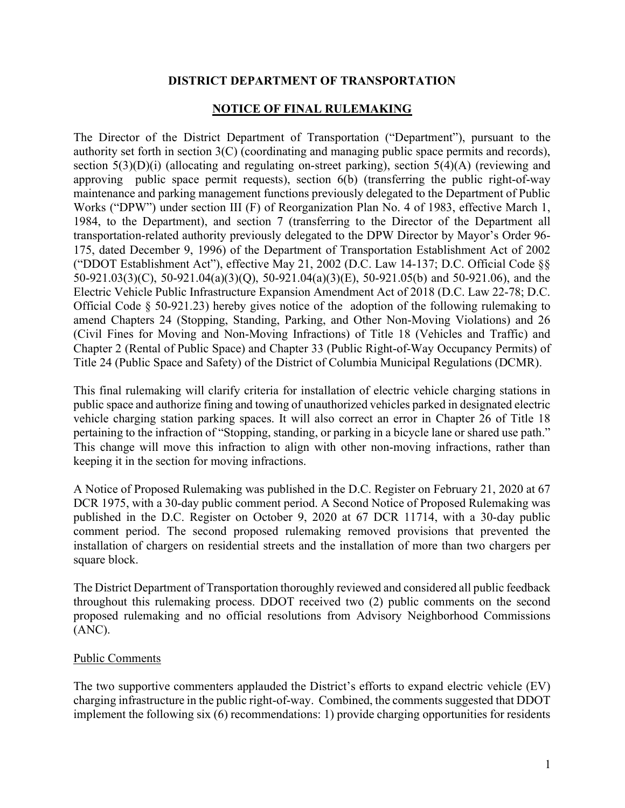### DISTRICT DEPARTMENT OF TRANSPORTATION

## NOTICE OF FINAL RULEMAKING

The Director of the District Department of Transportation ("Department"), pursuant to the authority set forth in section 3(C) (coordinating and managing public space permits and records), section  $5(3)(D)(i)$  (allocating and regulating on-street parking), section  $5(4)(A)$  (reviewing and approving public space permit requests), section 6(b) (transferring the public right-of-way maintenance and parking management functions previously delegated to the Department of Public Works ("DPW") under section III (F) of Reorganization Plan No. 4 of 1983, effective March 1, 1984, to the Department), and section 7 (transferring to the Director of the Department all transportation-related authority previously delegated to the DPW Director by Mayor's Order 96- 175, dated December 9, 1996) of the Department of Transportation Establishment Act of 2002 ("DDOT Establishment Act"), effective May 21, 2002 (D.C. Law 14-137; D.C. Official Code §§ 50-921.03(3)(C), 50-921.04(a)(3)(Q), 50-921.04(a)(3)(E), 50-921.05(b) and 50-921.06), and the Electric Vehicle Public Infrastructure Expansion Amendment Act of 2018 (D.C. Law 22-78; D.C. Official Code § 50-921.23) hereby gives notice of the adoption of the following rulemaking to amend Chapters 24 (Stopping, Standing, Parking, and Other Non-Moving Violations) and 26 (Civil Fines for Moving and Non-Moving Infractions) of Title 18 (Vehicles and Traffic) and Chapter 2 (Rental of Public Space) and Chapter 33 (Public Right-of-Way Occupancy Permits) of Title 24 (Public Space and Safety) of the District of Columbia Municipal Regulations (DCMR).

This final rulemaking will clarify criteria for installation of electric vehicle charging stations in public space and authorize fining and towing of unauthorized vehicles parked in designated electric vehicle charging station parking spaces. It will also correct an error in Chapter 26 of Title 18 pertaining to the infraction of "Stopping, standing, or parking in a bicycle lane or shared use path." This change will move this infraction to align with other non-moving infractions, rather than keeping it in the section for moving infractions.

A Notice of Proposed Rulemaking was published in the D.C. Register on February 21, 2020 at 67 DCR 1975, with a 30-day public comment period. A Second Notice of Proposed Rulemaking was published in the D.C. Register on October 9, 2020 at 67 DCR 11714, with a 30-day public comment period. The second proposed rulemaking removed provisions that prevented the installation of chargers on residential streets and the installation of more than two chargers per square block.

The District Department of Transportation thoroughly reviewed and considered all public feedback throughout this rulemaking process. DDOT received two (2) public comments on the second proposed rulemaking and no official resolutions from Advisory Neighborhood Commissions (ANC).

### Public Comments

The two supportive commenters applauded the District's efforts to expand electric vehicle (EV) charging infrastructure in the public right-of-way. Combined, the comments suggested that DDOT implement the following six (6) recommendations: 1) provide charging opportunities for residents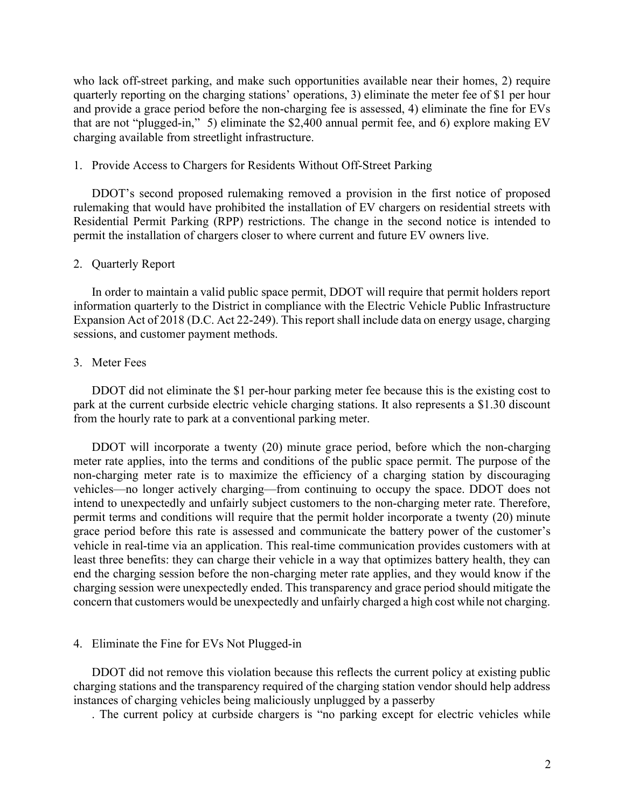who lack off-street parking, and make such opportunities available near their homes, 2) require quarterly reporting on the charging stations' operations, 3) eliminate the meter fee of \$1 per hour and provide a grace period before the non-charging fee is assessed, 4) eliminate the fine for EVs that are not "plugged-in," 5) eliminate the \$2,400 annual permit fee, and 6) explore making EV charging available from streetlight infrastructure.

#### 1. Provide Access to Chargers for Residents Without Off-Street Parking

DDOT's second proposed rulemaking removed a provision in the first notice of proposed rulemaking that would have prohibited the installation of EV chargers on residential streets with Residential Permit Parking (RPP) restrictions. The change in the second notice is intended to permit the installation of chargers closer to where current and future EV owners live.

#### 2. Quarterly Report

In order to maintain a valid public space permit, DDOT will require that permit holders report information quarterly to the District in compliance with the Electric Vehicle Public Infrastructure Expansion Act of 2018 (D.C. Act 22-249). This report shall include data on energy usage, charging sessions, and customer payment methods.

#### 3. Meter Fees

DDOT did not eliminate the \$1 per-hour parking meter fee because this is the existing cost to park at the current curbside electric vehicle charging stations. It also represents a \$1.30 discount from the hourly rate to park at a conventional parking meter.

DDOT will incorporate a twenty (20) minute grace period, before which the non-charging meter rate applies, into the terms and conditions of the public space permit. The purpose of the non-charging meter rate is to maximize the efficiency of a charging station by discouraging vehicles—no longer actively charging—from continuing to occupy the space. DDOT does not intend to unexpectedly and unfairly subject customers to the non-charging meter rate. Therefore, permit terms and conditions will require that the permit holder incorporate a twenty (20) minute grace period before this rate is assessed and communicate the battery power of the customer's vehicle in real-time via an application. This real-time communication provides customers with at least three benefits: they can charge their vehicle in a way that optimizes battery health, they can end the charging session before the non-charging meter rate applies, and they would know if the charging session were unexpectedly ended. This transparency and grace period should mitigate the concern that customers would be unexpectedly and unfairly charged a high cost while not charging.

#### 4. Eliminate the Fine for EVs Not Plugged-in

DDOT did not remove this violation because this reflects the current policy at existing public charging stations and the transparency required of the charging station vendor should help address instances of charging vehicles being maliciously unplugged by a passerby

. The current policy at curbside chargers is "no parking except for electric vehicles while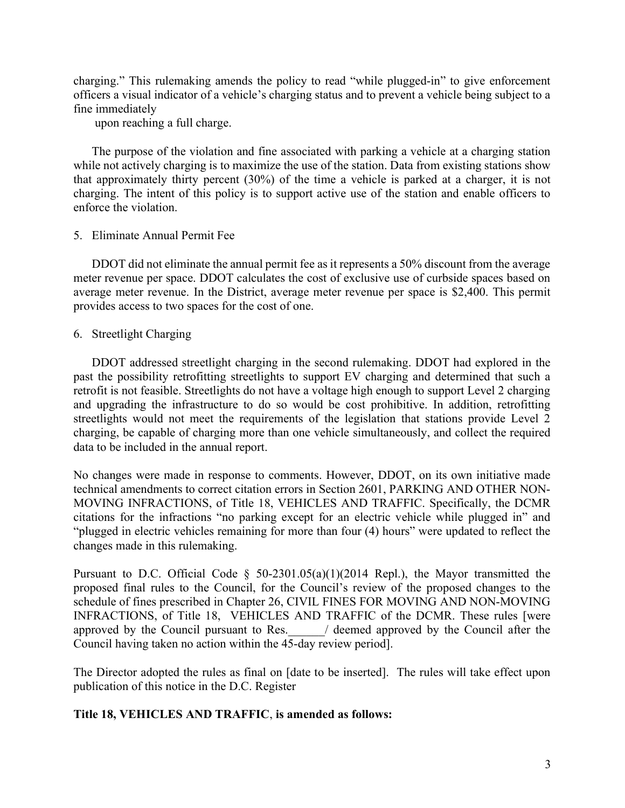charging." This rulemaking amends the policy to read "while plugged-in" to give enforcement officers a visual indicator of a vehicle's charging status and to prevent a vehicle being subject to a fine immediately

upon reaching a full charge.

The purpose of the violation and fine associated with parking a vehicle at a charging station while not actively charging is to maximize the use of the station. Data from existing stations show that approximately thirty percent (30%) of the time a vehicle is parked at a charger, it is not charging. The intent of this policy is to support active use of the station and enable officers to enforce the violation.

## 5. Eliminate Annual Permit Fee

DDOT did not eliminate the annual permit fee as it represents a 50% discount from the average meter revenue per space. DDOT calculates the cost of exclusive use of curbside spaces based on average meter revenue. In the District, average meter revenue per space is \$2,400. This permit provides access to two spaces for the cost of one.

## 6. Streetlight Charging

DDOT addressed streetlight charging in the second rulemaking. DDOT had explored in the past the possibility retrofitting streetlights to support EV charging and determined that such a retrofit is not feasible. Streetlights do not have a voltage high enough to support Level 2 charging and upgrading the infrastructure to do so would be cost prohibitive. In addition, retrofitting streetlights would not meet the requirements of the legislation that stations provide Level 2 charging, be capable of charging more than one vehicle simultaneously, and collect the required data to be included in the annual report.

No changes were made in response to comments. However, DDOT, on its own initiative made technical amendments to correct citation errors in Section 2601, PARKING AND OTHER NON-MOVING INFRACTIONS, of Title 18, VEHICLES AND TRAFFIC. Specifically, the DCMR citations for the infractions "no parking except for an electric vehicle while plugged in" and "plugged in electric vehicles remaining for more than four (4) hours" were updated to reflect the changes made in this rulemaking.

Pursuant to D.C. Official Code  $\S$  50-2301.05(a)(1)(2014 Repl.), the Mayor transmitted the proposed final rules to the Council, for the Council's review of the proposed changes to the schedule of fines prescribed in Chapter 26, CIVIL FINES FOR MOVING AND NON-MOVING INFRACTIONS, of Title 18, VEHICLES AND TRAFFIC of the DCMR. These rules [were approved by the Council pursuant to Res.  $\qquad$  / deemed approved by the Council after the Council having taken no action within the 45-day review period].

The Director adopted the rules as final on [date to be inserted]. The rules will take effect upon publication of this notice in the D.C. Register

# Title 18, VEHICLES AND TRAFFIC, is amended as follows: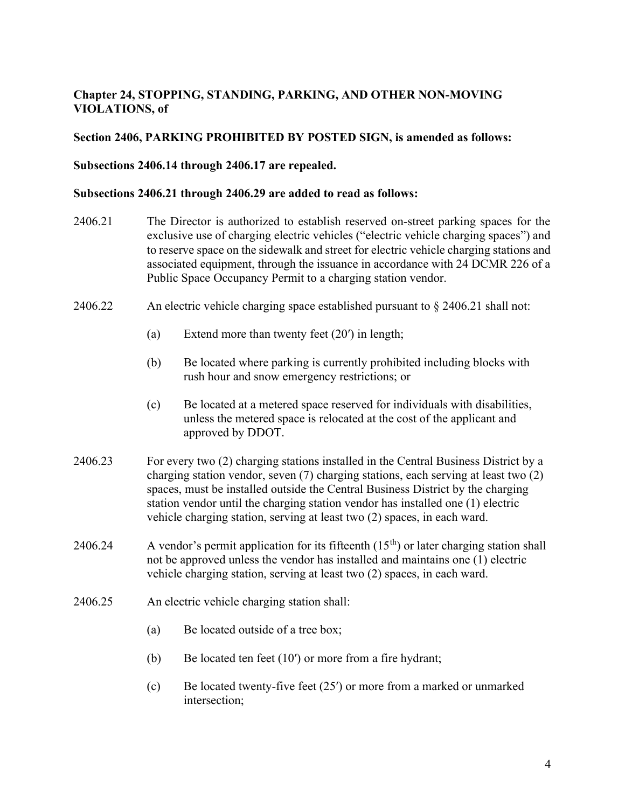# Chapter 24, STOPPING, STANDING, PARKING, AND OTHER NON-MOVING VIOLATIONS, of

## Section 2406, PARKING PROHIBITED BY POSTED SIGN, is amended as follows:

### Subsections 2406.14 through 2406.17 are repealed.

### Subsections 2406.21 through 2406.29 are added to read as follows:

- 2406.21 The Director is authorized to establish reserved on-street parking spaces for the exclusive use of charging electric vehicles ("electric vehicle charging spaces") and to reserve space on the sidewalk and street for electric vehicle charging stations and associated equipment, through the issuance in accordance with 24 DCMR 226 of a Public Space Occupancy Permit to a charging station vendor.
- 2406.22 An electric vehicle charging space established pursuant to  $\S 2406.21$  shall not:
	- (a) Extend more than twenty feet (20ʹ) in length;
	- (b) Be located where parking is currently prohibited including blocks with rush hour and snow emergency restrictions; or
	- (c) Be located at a metered space reserved for individuals with disabilities, unless the metered space is relocated at the cost of the applicant and approved by DDOT.
- 2406.23 For every two (2) charging stations installed in the Central Business District by a charging station vendor, seven (7) charging stations, each serving at least two (2) spaces, must be installed outside the Central Business District by the charging station vendor until the charging station vendor has installed one (1) electric vehicle charging station, serving at least two (2) spaces, in each ward.
- 2406.24 A vendor's permit application for its fifteenth  $(15<sup>th</sup>)$  or later charging station shall not be approved unless the vendor has installed and maintains one (1) electric vehicle charging station, serving at least two (2) spaces, in each ward.
- 2406.25 An electric vehicle charging station shall:
	- (a) Be located outside of a tree box;
	- (b) Be located ten feet (10ʹ) or more from a fire hydrant;
	- (c) Be located twenty-five feet (25ʹ) or more from a marked or unmarked intersection;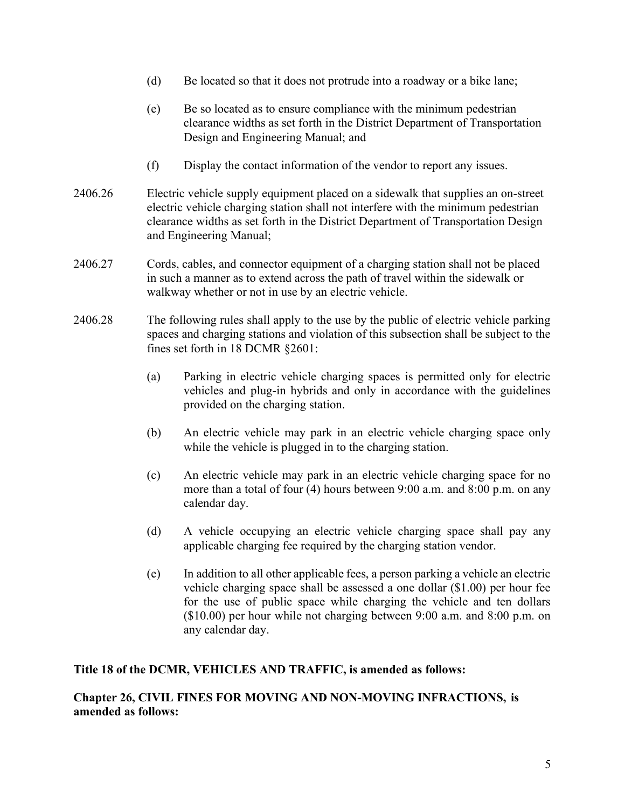- (d) Be located so that it does not protrude into a roadway or a bike lane;
- (e) Be so located as to ensure compliance with the minimum pedestrian clearance widths as set forth in the District Department of Transportation Design and Engineering Manual; and
- (f) Display the contact information of the vendor to report any issues.
- 2406.26 Electric vehicle supply equipment placed on a sidewalk that supplies an on-street electric vehicle charging station shall not interfere with the minimum pedestrian clearance widths as set forth in the District Department of Transportation Design and Engineering Manual;
- 2406.27 Cords, cables, and connector equipment of a charging station shall not be placed in such a manner as to extend across the path of travel within the sidewalk or walkway whether or not in use by an electric vehicle.
- 2406.28 The following rules shall apply to the use by the public of electric vehicle parking spaces and charging stations and violation of this subsection shall be subject to the fines set forth in 18 DCMR §2601:
	- (a) Parking in electric vehicle charging spaces is permitted only for electric vehicles and plug-in hybrids and only in accordance with the guidelines provided on the charging station.
	- (b) An electric vehicle may park in an electric vehicle charging space only while the vehicle is plugged in to the charging station.
	- (c) An electric vehicle may park in an electric vehicle charging space for no more than a total of four (4) hours between 9:00 a.m. and 8:00 p.m. on any calendar day.
	- (d) A vehicle occupying an electric vehicle charging space shall pay any applicable charging fee required by the charging station vendor.
	- (e) In addition to all other applicable fees, a person parking a vehicle an electric vehicle charging space shall be assessed a one dollar (\$1.00) per hour fee for the use of public space while charging the vehicle and ten dollars (\$10.00) per hour while not charging between 9:00 a.m. and 8:00 p.m. on any calendar day.

### Title 18 of the DCMR, VEHICLES AND TRAFFIC, is amended as follows:

# Chapter 26, CIVIL FINES FOR MOVING AND NON-MOVING INFRACTIONS, is amended as follows: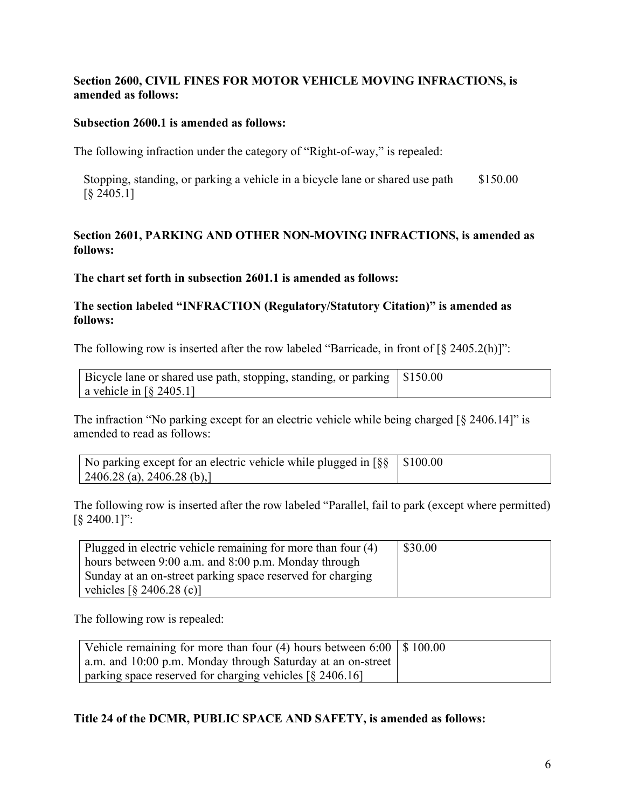# Section 2600, CIVIL FINES FOR MOTOR VEHICLE MOVING INFRACTIONS, is amended as follows:

## Subsection 2600.1 is amended as follows:

The following infraction under the category of "Right-of-way," is repealed:

Stopping, standing, or parking a vehicle in a bicycle lane or shared use path [§ 2405.1] \$150.00

# Section 2601, PARKING AND OTHER NON-MOVING INFRACTIONS, is amended as follows:

The chart set forth in subsection 2601.1 is amended as follows:

## The section labeled "INFRACTION (Regulatory/Statutory Citation)" is amended as follows:

The following row is inserted after the row labeled "Barricade, in front of  $\lceil \frac{8}{9} \cdot 2405.2(h) \rceil$ ":

| Bicycle lane or shared use path, stopping, standing, or parking $\vert$ \$150.00 |  |
|----------------------------------------------------------------------------------|--|
| a vehicle in $\lceil \S$ 2405.1]                                                 |  |

The infraction "No parking except for an electric vehicle while being charged [§ 2406.14]" is amended to read as follows:

| No parking except for an electric vehicle while plugged in $\lceil \S \S \rceil$ \$100.00 |  |
|-------------------------------------------------------------------------------------------|--|
| 2406.28 (a), 2406.28 (b),                                                                 |  |

The following row is inserted after the row labeled "Parallel, fail to park (except where permitted) [§ 2400.1]":

| Plugged in electric vehicle remaining for more than four (4)   | \$30.00 |
|----------------------------------------------------------------|---------|
| hours between 9:00 a.m. and 8:00 p.m. Monday through           |         |
| Sunday at an on-street parking space reserved for charging     |         |
| vehicles $\lceil \frac{6}{5} \cdot 2406.28 \text{ (c)} \rceil$ |         |

The following row is repealed:

| Vehicle remaining for more than four (4) hours between $6:00 \mid $100.00$             |  |
|----------------------------------------------------------------------------------------|--|
| a.m. and 10:00 p.m. Monday through Saturday at an on-street                            |  |
| parking space reserved for charging vehicles $\lceil \frac{6}{9} \cdot 2406.16 \rceil$ |  |

# Title 24 of the DCMR, PUBLIC SPACE AND SAFETY, is amended as follows: